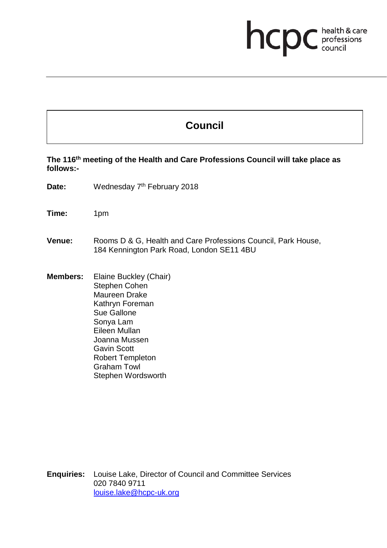## **health & care**

## **Council**

**The 116th meeting of the Health and Care Professions Council will take place as follows:-**

Date: Wednesday 7<sup>th</sup> February 2018

**Time:** 1pm

- **Venue:** Rooms D & G, Health and Care Professions Council, Park House, 184 Kennington Park Road, London SE11 4BU
- **Members:** Elaine Buckley (Chair) Stephen Cohen Maureen Drake Kathryn Foreman Sue Gallone Sonya Lam Eileen Mullan Joanna Mussen Gavin Scott Robert Templeton Graham Towl Stephen Wordsworth

**Enquiries:** Louise Lake, Director of Council and Committee Services 020 7840 9711 louise.lake@hcpc-uk.org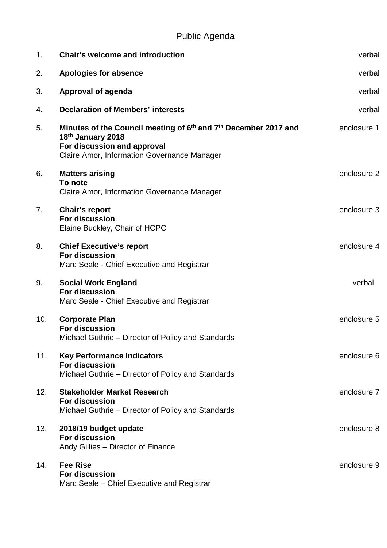## Public Agenda

| 1.             | <b>Chair's welcome and introduction</b>                                                                                                                                                    | verbal      |
|----------------|--------------------------------------------------------------------------------------------------------------------------------------------------------------------------------------------|-------------|
| 2.             | <b>Apologies for absence</b>                                                                                                                                                               | verbal      |
| 3.             | Approval of agenda                                                                                                                                                                         | verbal      |
| 4.             | <b>Declaration of Members' interests</b>                                                                                                                                                   | verbal      |
| 5.             | Minutes of the Council meeting of 6 <sup>th</sup> and 7 <sup>th</sup> December 2017 and<br>18th January 2018<br>For discussion and approval<br>Claire Amor, Information Governance Manager | enclosure 1 |
| 6.             | <b>Matters arising</b><br>To note<br>Claire Amor, Information Governance Manager                                                                                                           | enclosure 2 |
| 7 <sub>1</sub> | <b>Chair's report</b><br><b>For discussion</b><br>Elaine Buckley, Chair of HCPC                                                                                                            | enclosure 3 |
| 8.             | <b>Chief Executive's report</b><br><b>For discussion</b><br>Marc Seale - Chief Executive and Registrar                                                                                     | enclosure 4 |
| 9.             | <b>Social Work England</b><br><b>For discussion</b><br>Marc Seale - Chief Executive and Registrar                                                                                          | verbal      |
| 10.            | <b>Corporate Plan</b><br><b>For discussion</b><br>Michael Guthrie – Director of Policy and Standards                                                                                       | enclosure 5 |
| 11.            | <b>Key Performance Indicators</b><br><b>For discussion</b><br>Michael Guthrie - Director of Policy and Standards                                                                           | enclosure 6 |
| 12.            | <b>Stakeholder Market Research</b><br><b>For discussion</b><br>Michael Guthrie – Director of Policy and Standards                                                                          | enclosure 7 |
| 13.            | 2018/19 budget update<br>For discussion<br>Andy Gillies - Director of Finance                                                                                                              | enclosure 8 |
| 14.            | <b>Fee Rise</b><br><b>For discussion</b><br>Marc Seale – Chief Executive and Registrar                                                                                                     | enclosure 9 |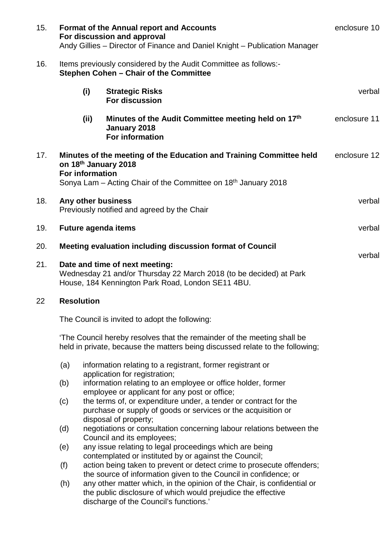| 15. | <b>Format of the Annual report and Accounts</b><br>For discussion and approval<br>Andy Gillies – Director of Finance and Daniel Knight – Publication Manager | enclosure 10                                                                                                                                             |                                                                                                                                                                                                                                                       |              |  |  |  |
|-----|--------------------------------------------------------------------------------------------------------------------------------------------------------------|----------------------------------------------------------------------------------------------------------------------------------------------------------|-------------------------------------------------------------------------------------------------------------------------------------------------------------------------------------------------------------------------------------------------------|--------------|--|--|--|
| 16. | Items previously considered by the Audit Committee as follows:-<br>Stephen Cohen - Chair of the Committee                                                    |                                                                                                                                                          |                                                                                                                                                                                                                                                       |              |  |  |  |
|     |                                                                                                                                                              | (i)                                                                                                                                                      | <b>Strategic Risks</b><br><b>For discussion</b>                                                                                                                                                                                                       | verbal       |  |  |  |
|     |                                                                                                                                                              | (ii)                                                                                                                                                     | Minutes of the Audit Committee meeting held on 17th<br>January 2018<br>For information                                                                                                                                                                | enclosure 11 |  |  |  |
| 17. | Minutes of the meeting of the Education and Training Committee held<br>on 18th January 2018<br><b>For information</b>                                        | enclosure 12                                                                                                                                             |                                                                                                                                                                                                                                                       |              |  |  |  |
|     |                                                                                                                                                              |                                                                                                                                                          | Sonya Lam - Acting Chair of the Committee on 18 <sup>th</sup> January 2018                                                                                                                                                                            | verbal       |  |  |  |
| 18. | Any other business<br>Previously notified and agreed by the Chair                                                                                            |                                                                                                                                                          |                                                                                                                                                                                                                                                       |              |  |  |  |
| 19. |                                                                                                                                                              |                                                                                                                                                          | <b>Future agenda items</b>                                                                                                                                                                                                                            | verbal       |  |  |  |
| 20. |                                                                                                                                                              |                                                                                                                                                          | Meeting evaluation including discussion format of Council                                                                                                                                                                                             | verbal       |  |  |  |
| 21. | Date and time of next meeting:<br>Wednesday 21 and/or Thursday 22 March 2018 (to be decided) at Park<br>House, 184 Kennington Park Road, London SE11 4BU.    |                                                                                                                                                          |                                                                                                                                                                                                                                                       |              |  |  |  |
| 22  |                                                                                                                                                              | <b>Resolution</b>                                                                                                                                        |                                                                                                                                                                                                                                                       |              |  |  |  |
|     | The Council is invited to adopt the following:                                                                                                               |                                                                                                                                                          |                                                                                                                                                                                                                                                       |              |  |  |  |
|     |                                                                                                                                                              | 'The Council hereby resolves that the remainder of the meeting shall be<br>held in private, because the matters being discussed relate to the following; |                                                                                                                                                                                                                                                       |              |  |  |  |
|     | (a)                                                                                                                                                          |                                                                                                                                                          | information relating to a registrant, former registrant or<br>application for registration;                                                                                                                                                           |              |  |  |  |
|     | (b)                                                                                                                                                          |                                                                                                                                                          | information relating to an employee or office holder, former<br>employee or applicant for any post or office;                                                                                                                                         |              |  |  |  |
|     | (c)                                                                                                                                                          |                                                                                                                                                          | the terms of, or expenditure under, a tender or contract for the<br>purchase or supply of goods or services or the acquisition or                                                                                                                     |              |  |  |  |
|     | (d)                                                                                                                                                          |                                                                                                                                                          | disposal of property;<br>negotiations or consultation concerning labour relations between the<br>Council and its employees;                                                                                                                           |              |  |  |  |
|     | (e)                                                                                                                                                          |                                                                                                                                                          | any issue relating to legal proceedings which are being<br>contemplated or instituted by or against the Council;                                                                                                                                      |              |  |  |  |
|     | (f)                                                                                                                                                          |                                                                                                                                                          | action being taken to prevent or detect crime to prosecute offenders;                                                                                                                                                                                 |              |  |  |  |
|     | (h)                                                                                                                                                          |                                                                                                                                                          | the source of information given to the Council in confidence; or<br>any other matter which, in the opinion of the Chair, is confidential or<br>the public disclosure of which would prejudice the effective<br>discharge of the Council's functions.' |              |  |  |  |